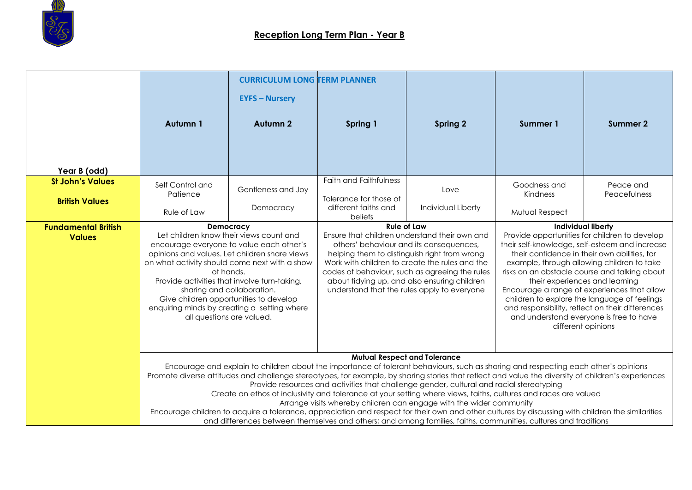

|                                                  | Autumn 1                                                                                                                                                                                                                                                                                                                                                                                                                                                                                                                                                                                                                                                                                                                                                                                                                                                                                        | <b>CURRICULUM LONG TERM PLANNER</b><br><b>EYFS - Nursery</b><br><b>Autumn 2</b>                                                                                                                                                                                                                                                                                              | Spring 1                                                                 | <b>Spring 2</b>            | Summer 1                                                                                                                                                                                                                                                                                                                                                                                                                                                                                                                                            | Summer 2                  |
|--------------------------------------------------|-------------------------------------------------------------------------------------------------------------------------------------------------------------------------------------------------------------------------------------------------------------------------------------------------------------------------------------------------------------------------------------------------------------------------------------------------------------------------------------------------------------------------------------------------------------------------------------------------------------------------------------------------------------------------------------------------------------------------------------------------------------------------------------------------------------------------------------------------------------------------------------------------|------------------------------------------------------------------------------------------------------------------------------------------------------------------------------------------------------------------------------------------------------------------------------------------------------------------------------------------------------------------------------|--------------------------------------------------------------------------|----------------------------|-----------------------------------------------------------------------------------------------------------------------------------------------------------------------------------------------------------------------------------------------------------------------------------------------------------------------------------------------------------------------------------------------------------------------------------------------------------------------------------------------------------------------------------------------------|---------------------------|
| Year B (odd)                                     |                                                                                                                                                                                                                                                                                                                                                                                                                                                                                                                                                                                                                                                                                                                                                                                                                                                                                                 |                                                                                                                                                                                                                                                                                                                                                                              |                                                                          |                            |                                                                                                                                                                                                                                                                                                                                                                                                                                                                                                                                                     |                           |
| <b>St John's Values</b><br><b>British Values</b> | Self Control and<br>Patience                                                                                                                                                                                                                                                                                                                                                                                                                                                                                                                                                                                                                                                                                                                                                                                                                                                                    | Gentleness and Joy<br>Democracy                                                                                                                                                                                                                                                                                                                                              | Faith and Faithfulness<br>Tolerance for those of<br>different faiths and | Love<br>Individual Liberty | Goodness and<br>Kindness                                                                                                                                                                                                                                                                                                                                                                                                                                                                                                                            | Peace and<br>Peacefulness |
| <b>Fundamental British</b><br><b>Values</b>      | Rule of Law<br>Democracy<br>Let children know their views count and<br>encourage everyone to value each other's<br>opinions and values. Let children share views<br>on what activity should come next with a show<br>of hands.<br>Provide activities that involve turn-taking,<br>sharing and collaboration.<br>Give children opportunities to develop<br>enquiring minds by creating a setting where<br>all questions are valued.                                                                                                                                                                                                                                                                                                                                                                                                                                                              | beliefs<br><b>Rule of Law</b><br>Ensure that children understand their own and<br>others' behaviour and its consequences.<br>helping them to distinguish right from wrong<br>Work with children to create the rules and the<br>codes of behaviour, such as agreeing the rules<br>about tidying up, and also ensuring children<br>understand that the rules apply to everyone |                                                                          |                            | Mutual Respect<br><b>Individual liberty</b><br>Provide opportunities for children to develop<br>their self-knowledge, self-esteem and increase<br>their confidence in their own abilities, for<br>example, through allowing children to take<br>risks on an obstacle course and talking about<br>their experiences and learning<br>Encourage a range of experiences that allow<br>children to explore the language of feelings<br>and responsibility, reflect on their differences<br>and understand everyone is free to have<br>different opinions |                           |
|                                                  | <b>Mutual Respect and Tolerance</b><br>Encourage and explain to children about the importance of tolerant behaviours, such as sharing and respecting each other's opinions<br>Promote diverse attitudes and challenge stereotypes, for example, by sharing stories that reflect and value the diversity of children's experiences<br>Provide resources and activities that challenge gender, cultural and racial stereotyping<br>Create an ethos of inclusivity and tolerance at your setting where views, faiths, cultures and races are valued<br>Arrange visits whereby children can engage with the wider community<br>Encourage children to acquire a tolerance, appreciation and respect for their own and other cultures by discussing with children the similarities<br>and differences between themselves and others; and among families, faiths, communities, cultures and traditions |                                                                                                                                                                                                                                                                                                                                                                              |                                                                          |                            |                                                                                                                                                                                                                                                                                                                                                                                                                                                                                                                                                     |                           |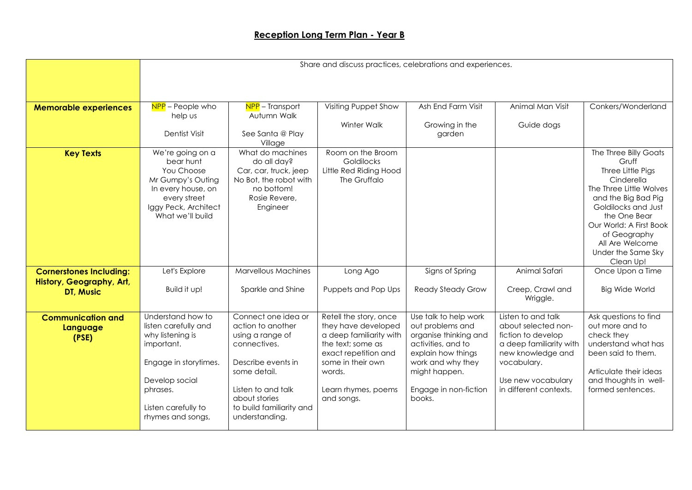|                                                            | Share and discuss practices, celebrations and experiences.                                                                                                                     |                                                                                                                                                                                                         |                                                                                                                                                                                           |                                                                                                                                                                                         |                                                                                                                                                                                |                                                                                                                                                                                                                                                             |  |
|------------------------------------------------------------|--------------------------------------------------------------------------------------------------------------------------------------------------------------------------------|---------------------------------------------------------------------------------------------------------------------------------------------------------------------------------------------------------|-------------------------------------------------------------------------------------------------------------------------------------------------------------------------------------------|-----------------------------------------------------------------------------------------------------------------------------------------------------------------------------------------|--------------------------------------------------------------------------------------------------------------------------------------------------------------------------------|-------------------------------------------------------------------------------------------------------------------------------------------------------------------------------------------------------------------------------------------------------------|--|
|                                                            |                                                                                                                                                                                |                                                                                                                                                                                                         |                                                                                                                                                                                           |                                                                                                                                                                                         |                                                                                                                                                                                |                                                                                                                                                                                                                                                             |  |
|                                                            |                                                                                                                                                                                |                                                                                                                                                                                                         |                                                                                                                                                                                           |                                                                                                                                                                                         |                                                                                                                                                                                |                                                                                                                                                                                                                                                             |  |
| <b>Memorable experiences</b>                               | NPP - People who<br>help us                                                                                                                                                    | NPP - Transport<br>Autumn Walk                                                                                                                                                                          | Visiting Puppet Show                                                                                                                                                                      | Ash End Farm Visit                                                                                                                                                                      | Animal Man Visit                                                                                                                                                               | Conkers/Wonderland                                                                                                                                                                                                                                          |  |
|                                                            |                                                                                                                                                                                |                                                                                                                                                                                                         | Winter Walk                                                                                                                                                                               | Growing in the                                                                                                                                                                          | Guide dogs                                                                                                                                                                     |                                                                                                                                                                                                                                                             |  |
|                                                            | Dentist Visit                                                                                                                                                                  | See Santa @ Play<br>Village                                                                                                                                                                             |                                                                                                                                                                                           | garden                                                                                                                                                                                  |                                                                                                                                                                                |                                                                                                                                                                                                                                                             |  |
| <b>Key Texts</b>                                           | We're going on a<br>bear hunt<br>You Choose<br>Mr Gumpy's Outing<br>In every house, on<br>every street<br>Iggy Peck, Architect<br>What we'll build                             | What do machines<br>do all day?<br>Car, car, truck, jeep<br>No Bot, the robot with<br>no bottom!<br>Rosie Revere,<br>Engineer                                                                           | Room on the Broom<br>Goldilocks<br>Little Red Riding Hood<br>The Gruffalo                                                                                                                 |                                                                                                                                                                                         |                                                                                                                                                                                | The Three Billy Goats<br>Gruff<br>Three Little Pigs<br>Cinderella<br>The Three Little Wolves<br>and the Big Bad Pig<br>Goldilocks and Just<br>the One Bear<br>Our World: A First Book<br>of Geography<br>All Are Welcome<br>Under the Same Sky<br>Clean Up! |  |
| <b>Cornerstones Including:</b><br>History, Geography, Art, | Let's Explore                                                                                                                                                                  | <b>Marvellous Machines</b>                                                                                                                                                                              | Long Ago                                                                                                                                                                                  | Signs of Spring                                                                                                                                                                         | Animal Safari                                                                                                                                                                  | Once Upon a Time                                                                                                                                                                                                                                            |  |
| <b>DT, Music</b>                                           | Build it up!                                                                                                                                                                   | Sparkle and Shine                                                                                                                                                                                       | Puppets and Pop Ups                                                                                                                                                                       | <b>Ready Steady Grow</b>                                                                                                                                                                | Creep, Crawl and<br>Wriggle.                                                                                                                                                   | <b>Big Wide World</b>                                                                                                                                                                                                                                       |  |
| <b>Communication and</b><br>Language<br>(PSE)              | Understand how to<br>listen carefully and<br>why listening is<br>important.<br>Engage in storytimes.<br>Develop social<br>phrases.<br>Listen carefully to<br>rhymes and songs, | Connect one idea or<br>action to another<br>using a range of<br>connectives.<br>Describe events in<br>some detail.<br>Listen to and talk<br>about stories<br>to build familiarity and<br>understanding. | Retell the story, once<br>they have developed<br>a deep familiarity with<br>the text; some as<br>exact repetition and<br>some in their own<br>words.<br>Learn rhymes, poems<br>and songs. | Use talk to help work<br>out problems and<br>organise thinking and<br>activities, and to<br>explain how things<br>work and why they<br>might happen.<br>Engage in non-fiction<br>books. | Listen to and talk<br>about selected non-<br>fiction to develop<br>a deep familiarity with<br>new knowledge and<br>vocabulary.<br>Use new vocabulary<br>in different contexts. | Ask questions to find<br>out more and to<br>check they<br>understand what has<br>been said to them.<br>Articulate their ideas<br>and thoughts in well-<br>formed sentences.                                                                                 |  |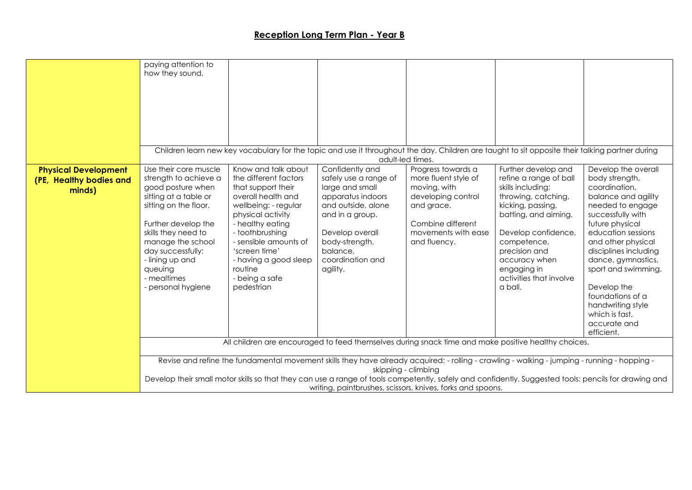|                                                                  | paying attention to<br>how they sound.                                                                                                                                                                                                                                                                                                                                                    |                                                                                                                                                                                                                                                                                            | Children learn new key vocabulary for the topic and use it throughout the day. Children are taught to sit opposite their talking partner during                                                                                                                                                                                       |                                                                                                                                                            |                                                                                                                                                                                                                                                                     |                                                                                                                                                                                                                                                                                                                                                                     |
|------------------------------------------------------------------|-------------------------------------------------------------------------------------------------------------------------------------------------------------------------------------------------------------------------------------------------------------------------------------------------------------------------------------------------------------------------------------------|--------------------------------------------------------------------------------------------------------------------------------------------------------------------------------------------------------------------------------------------------------------------------------------------|---------------------------------------------------------------------------------------------------------------------------------------------------------------------------------------------------------------------------------------------------------------------------------------------------------------------------------------|------------------------------------------------------------------------------------------------------------------------------------------------------------|---------------------------------------------------------------------------------------------------------------------------------------------------------------------------------------------------------------------------------------------------------------------|---------------------------------------------------------------------------------------------------------------------------------------------------------------------------------------------------------------------------------------------------------------------------------------------------------------------------------------------------------------------|
| <b>Physical Development</b><br>(PE, Healthy bodies and<br>minds) | Use their core muscle<br>strength to achieve a<br>good posture when<br>sitting at a table or<br>sitting on the floor.<br>Further develop the<br>skills they need to<br>manage the school<br>day successfully:<br>- lining up and<br>queuing<br>- mealtimes<br>- personal hygiene                                                                                                          | Know and talk about<br>the different factors<br>that support their<br>overall health and<br>wellbeing: - regular<br>physical activity<br>- healthy eating<br>- toothbrushing<br>- sensible amounts of<br>'screen time'<br>- having a good sleep<br>routine<br>- being a safe<br>pedestrian | adult-led times.<br>Confidently and<br>safely use a range of<br>large and small<br>apparatus indoors<br>and outside, alone<br>and in a group.<br>Develop overall<br>body-strength,<br>balance,<br>coordination and<br>agility.<br>All children are encouraged to feed themselves during snack time and make positive healthy choices. | Progress towards a<br>more fluent style of<br>moving, with<br>developing control<br>and grace.<br>Combine different<br>movements with ease<br>and fluency. | Further develop and<br>refine a range of ball<br>skills including:<br>throwing, catching,<br>kicking, passing,<br>batting, and aiming.<br>Develop confidence,<br>competence,<br>precision and<br>accuracy when<br>engaging in<br>activities that involve<br>a ball. | Develop the overall<br>body strength,<br>coordination,<br>balance and agility<br>needed to engage<br>successfully with<br>future physical<br>education sessions<br>and other physical<br>disciplines including<br>dance, gymnastics,<br>sport and swimming.<br>Develop the<br>foundations of a<br>handwriting style<br>which is fast.<br>accurate and<br>efficient. |
|                                                                  | Revise and refine the fundamental movement skills they have already acquired: - rolling - crawling - walking - jumping - running - hopping -<br>skipping - climbing<br>Develop their small motor skills so that they can use a range of tools competently, safely and confidently. Suggested tools: pencils for drawing and<br>writing, paintbrushes, scissors, knives, forks and spoons. |                                                                                                                                                                                                                                                                                            |                                                                                                                                                                                                                                                                                                                                       |                                                                                                                                                            |                                                                                                                                                                                                                                                                     |                                                                                                                                                                                                                                                                                                                                                                     |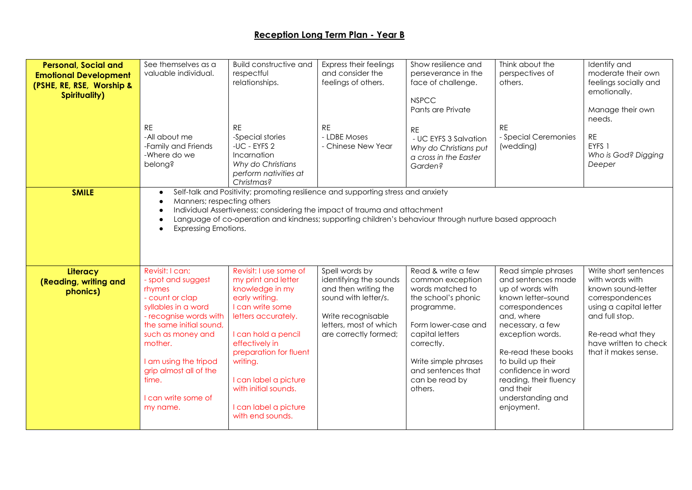| <b>Personal, Social and</b><br><b>Emotional Development</b><br>(PSHE, RE, RSE, Worship &<br><b>Spirituality)</b> | See themselves as a<br>valuable individual.<br><b>RE</b><br>-All about me<br>-Family and Friends<br>-Where do we<br>belong?                                                                                                                                                   | <b>Build constructive and</b><br>respectful<br>relationships.<br><b>RE</b><br>-Special stories<br>-UC - EYFS 2<br>Incarnation<br>Why do Christians<br>perform nativities at<br>Christmas?                                                                                                                  | Express their feelings<br>and consider the<br>feelings of others.<br><b>RE</b><br>- LDBE Moses<br>- Chinese New Year                                              | Show resilience and<br>perseverance in the<br>face of challenge.<br><b>NSPCC</b><br>Pants are Private<br><b>RE</b><br>- UC EYFS 3 Salvation<br>Why do Christians put<br>a cross in the Easter<br>Garden?                           | Think about the<br>perspectives of<br>others.<br><b>RE</b><br>- Special Ceremonies<br>(wedding)                                                                                                                                                                                                          | Identify and<br>moderate their own<br>feelings socially and<br>emotionally.<br>Manage their own<br>needs.<br><b>RE</b><br>EYFS 1<br>Who is God? Digging<br>Deeper                                   |
|------------------------------------------------------------------------------------------------------------------|-------------------------------------------------------------------------------------------------------------------------------------------------------------------------------------------------------------------------------------------------------------------------------|------------------------------------------------------------------------------------------------------------------------------------------------------------------------------------------------------------------------------------------------------------------------------------------------------------|-------------------------------------------------------------------------------------------------------------------------------------------------------------------|------------------------------------------------------------------------------------------------------------------------------------------------------------------------------------------------------------------------------------|----------------------------------------------------------------------------------------------------------------------------------------------------------------------------------------------------------------------------------------------------------------------------------------------------------|-----------------------------------------------------------------------------------------------------------------------------------------------------------------------------------------------------|
| <b>SMILE</b>                                                                                                     | $\bullet$<br>Manners; respecting others<br>$\bullet$<br>$\bullet$<br>$\bullet$<br><b>Expressing Emotions.</b><br>$\bullet$                                                                                                                                                    | Self-talk and Positivity; promoting resilience and supporting stress and anxiety<br>Individual Assertiveness; considering the impact of trauma and attachment                                                                                                                                              |                                                                                                                                                                   | Language of co-operation and kindness; supporting children's behaviour through nurture based approach                                                                                                                              |                                                                                                                                                                                                                                                                                                          |                                                                                                                                                                                                     |
| Literacy<br>(Reading, writing and<br>phonics)                                                                    | Revisit: I can;<br>- spot and suggest<br>rhymes<br>- count or clap<br>syllables in a word<br>- recognise words with<br>the same initial sound,<br>such as money and<br>mother.<br>I am using the tripod<br>grip almost all of the<br>time.<br>I can write some of<br>my name. | Revisit: I use some of<br>my print and letter<br>knowledge in my<br>early writing.<br>I can write some<br>letters accurately.<br>I can hold a pencil<br>effectively in<br>preparation for fluent<br>writing.<br>I can label a picture<br>with initial sounds.<br>I can label a picture<br>with end sounds. | Spell words by<br>identifying the sounds<br>and then writing the<br>sound with letter/s.<br>Write recognisable<br>letters, most of which<br>are correctly formed; | Read & write a few<br>common exception<br>words matched to<br>the school's phonic<br>programme.<br>Form lower-case and<br>capital letters<br>correctly.<br>Write simple phrases<br>and sentences that<br>can be read by<br>others. | Read simple phrases<br>and sentences made<br>up of words with<br>known letter-sound<br>correspondences<br>and, where<br>necessary, a few<br>exception words.<br>Re-read these books<br>to build up their<br>confidence in word<br>reading, their fluency<br>and their<br>understanding and<br>enjoyment. | Write short sentences<br>with words with<br>known sound-letter<br>correspondences<br>using a capital letter<br>and full stop.<br>Re-read what they<br>have written to check<br>that it makes sense. |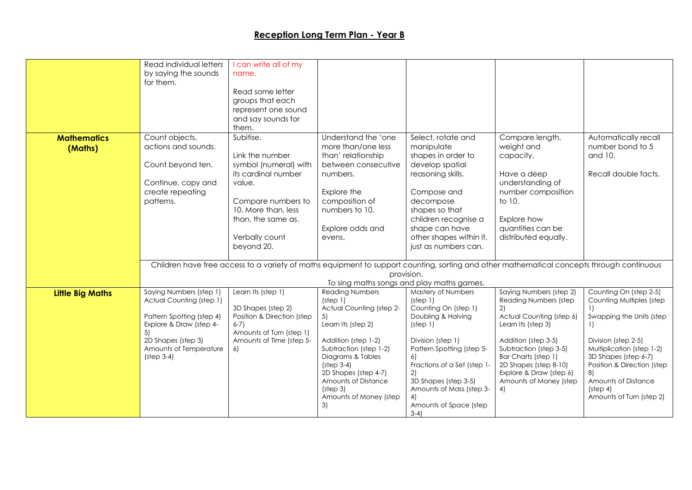|                         | Read individual letters   | I can write all of my                            |                                      |                                            |                                                                                                                                           |                                              |
|-------------------------|---------------------------|--------------------------------------------------|--------------------------------------|--------------------------------------------|-------------------------------------------------------------------------------------------------------------------------------------------|----------------------------------------------|
|                         | by saying the sounds      | name.                                            |                                      |                                            |                                                                                                                                           |                                              |
|                         | for them.                 |                                                  |                                      |                                            |                                                                                                                                           |                                              |
|                         |                           | Read some letter                                 |                                      |                                            |                                                                                                                                           |                                              |
|                         |                           | groups that each                                 |                                      |                                            |                                                                                                                                           |                                              |
|                         |                           | represent one sound                              |                                      |                                            |                                                                                                                                           |                                              |
|                         |                           | and say sounds for                               |                                      |                                            |                                                                                                                                           |                                              |
|                         |                           | them.                                            |                                      |                                            |                                                                                                                                           |                                              |
| <b>Mathematics</b>      | Count objects,            | Subitise.                                        | Understand the 'one                  | Select, rotate and                         | Compare length,                                                                                                                           | Automatically recall                         |
| (Maths)                 | actions and sounds.       |                                                  | more than/one less                   | manipulate                                 | weight and                                                                                                                                | number bond to 5                             |
|                         |                           | Link the number                                  | than' relationship                   | shapes in order to                         | capacity.                                                                                                                                 | and 10.                                      |
|                         | Count beyond ten.         | symbol (numeral) with<br>its cardinal number     | between consecutive<br>numbers.      | develop spatial<br>reasoning skills.       | Have a deep                                                                                                                               | Recall double facts.                         |
|                         | Continue, copy and        | value.                                           |                                      |                                            | understanding of                                                                                                                          |                                              |
|                         | create repeating          |                                                  | Explore the                          | Compose and                                | number composition                                                                                                                        |                                              |
|                         | patterns.                 | Compare numbers to                               | composition of                       | decompose                                  | to 10.                                                                                                                                    |                                              |
|                         |                           | 10. More than, less                              | numbers to 10.                       | shapes so that                             |                                                                                                                                           |                                              |
|                         |                           | than, the same as.                               |                                      | children recognise a                       | Explore how                                                                                                                               |                                              |
|                         |                           |                                                  | Explore odds and                     | shape can have                             | quantities can be                                                                                                                         |                                              |
|                         |                           | Verbally count                                   | evens.                               | other shapes within it,                    | distributed equally.                                                                                                                      |                                              |
|                         |                           | beyond 20.                                       |                                      | just as numbers can.                       |                                                                                                                                           |                                              |
|                         |                           |                                                  |                                      |                                            |                                                                                                                                           |                                              |
|                         |                           |                                                  |                                      |                                            | Children have free access to a variety of maths equipment to support counting, sorting and other mathematical concepts through continuous |                                              |
|                         |                           |                                                  |                                      | provision.                                 |                                                                                                                                           |                                              |
|                         |                           |                                                  |                                      | To sing maths songs and play maths games.  |                                                                                                                                           |                                              |
| <b>Little Big Maths</b> | Saying Numbers (step 1)   | Learn Its (step 1)                               | <b>Reading Numbers</b>               | Mastery of Numbers                         | Saying Numbers (step 2)                                                                                                                   | Counting On (step 2-5)                       |
|                         | Actual Counting (step 1)  |                                                  | (step 1)<br>Actual Counting (step 2- | (step 1)                                   | Reading Numbers (step                                                                                                                     | Counting Multiples (step                     |
|                         | Pattern Spotting (step 4) | 3D Shapes (step 2)<br>Position & Direction (step | 5)                                   | Counting On (step 1)<br>Doubling & Halving | 2)<br>Actual Counting (step 6)                                                                                                            | $\left  \right $<br>Swapping the Units (step |
|                         | Explore & Draw (step 4-   | $6-7$                                            | Learn Its (step 2)                   | (step 1)                                   | Learn Its (step 3)                                                                                                                        | $\left  \cdot \right $                       |
|                         | 5)                        | Amounts of Turn (step 1)                         |                                      |                                            |                                                                                                                                           |                                              |
|                         | 2D Shapes (step 3)        | Amounts of Time (step 5-                         | Addition (step 1-2)                  | Division (step 1)                          | Addition (step 3-5)                                                                                                                       | Division (step 2-5)                          |
|                         | Amounts of Temperature    | 6)                                               | Subtraction (step 1-2)               | Pattern Spotting (step 5-                  | Subtraction (step 3-5)                                                                                                                    | Multiplication (step 1-2)                    |
|                         | $(stop 3-4)$              |                                                  | Diagrams & Tables                    | 6)                                         | Bar Charts (step 1)                                                                                                                       | 3D Shapes (step 6-7)                         |
|                         |                           |                                                  | $(stop 3-4)$<br>2D Shapes (step 4-7) | Fractions of a Set (step 1-<br>2)          | 2D Shapes (step 8-10)<br>Explore & Draw (step 6)                                                                                          | Position & Direction (step<br>8)             |
|                         |                           |                                                  | Amounts of Distance                  | 3D Shapes (step 3-5)                       | Amounts of Money (step                                                                                                                    | Amounts of Distance                          |
|                         |                           |                                                  | (stop 3)                             | Amounts of Mass (step 3-                   | 4)                                                                                                                                        | $(step 4)$                                   |
|                         |                           |                                                  | Amounts of Money (step               |                                            |                                                                                                                                           | Amounts of Turn (step 2)                     |
|                         |                           |                                                  | 3)                                   | Amounts of Space (step                     |                                                                                                                                           |                                              |
|                         |                           |                                                  |                                      | $3-4)$                                     |                                                                                                                                           |                                              |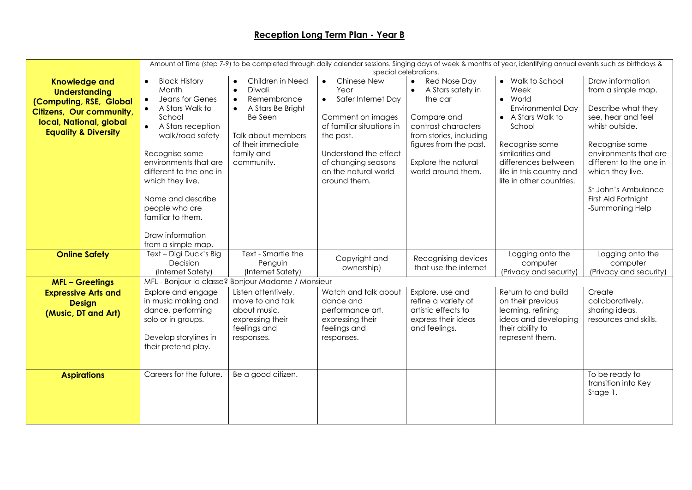|                                                                                                                                                                          |                                                                                                                                                                                                                                                                                                                            |                                                                                                                                                                                                       |                                                                                                                                                                                                                            | special celebrations.                                                                                                                                                                                                 | Amount of Time (step 7-9) to be completed through daily calendar sessions. Singing days of week & months of year, identifying annual events such as birthdays &                                                     |                                                                                                                                                                                                                                                                  |
|--------------------------------------------------------------------------------------------------------------------------------------------------------------------------|----------------------------------------------------------------------------------------------------------------------------------------------------------------------------------------------------------------------------------------------------------------------------------------------------------------------------|-------------------------------------------------------------------------------------------------------------------------------------------------------------------------------------------------------|----------------------------------------------------------------------------------------------------------------------------------------------------------------------------------------------------------------------------|-----------------------------------------------------------------------------------------------------------------------------------------------------------------------------------------------------------------------|---------------------------------------------------------------------------------------------------------------------------------------------------------------------------------------------------------------------|------------------------------------------------------------------------------------------------------------------------------------------------------------------------------------------------------------------------------------------------------------------|
| <b>Knowledge and</b><br><b>Understanding</b><br>(Computing, RSE, Global<br><b>Citizens, Our community,</b><br>local, National, global<br><b>Equality &amp; Diversity</b> | <b>Black History</b><br>$\bullet$<br>Month<br>Jeans for Genes<br>$\bullet$<br>A Stars Walk to<br>School<br>A Stars reception<br>walk/road safety<br>Recognise some<br>environments that are<br>different to the one in<br>which they live.<br>Name and describe<br>people who are<br>familiar to them.<br>Draw information | Children in Need<br>$\bullet$<br>Diwali<br>$\bullet$<br>Remembrance<br>$\bullet$<br>A Stars Be Bright<br>$\bullet$<br>Be Seen<br>Talk about members<br>of their immediate<br>family and<br>community. | Chinese New<br>$\bullet$<br>Year<br>Safer Internet Day<br>$\bullet$<br>Comment on images<br>of familiar situations in<br>the past.<br>Understand the effect<br>of changing seasons<br>on the natural world<br>around them. | <b>Red Nose Day</b><br>$\bullet$<br>A Stars safety in<br>$\bullet$<br>the car<br>Compare and<br>contrast characters<br>from stories, including<br>figures from the past.<br>Explore the natural<br>world around them. | • Walk to School<br>Week<br>• World<br><b>Environmental Day</b><br>• A Stars Walk to<br>School<br>Recognise some<br>similarities and<br>differences between<br>life in this country and<br>life in other countries. | Draw information<br>from a simple map.<br>Describe what they<br>see, hear and feel<br>whilst outside.<br>Recognise some<br>environments that are<br>different to the one in<br>which they live.<br>St John's Ambulance<br>First Aid Fortnight<br>-Summoning Help |
|                                                                                                                                                                          | from a simple map.                                                                                                                                                                                                                                                                                                         |                                                                                                                                                                                                       |                                                                                                                                                                                                                            |                                                                                                                                                                                                                       |                                                                                                                                                                                                                     |                                                                                                                                                                                                                                                                  |
| <b>Online Safety</b>                                                                                                                                                     | Text - Digi Duck's Big<br>Decision<br>(Internet Safety)                                                                                                                                                                                                                                                                    | Text - Smartie the<br>Penguin<br>(Internet Safety)                                                                                                                                                    | Copyright and<br>ownership)                                                                                                                                                                                                | Recognising devices<br>that use the internet                                                                                                                                                                          | Logging onto the<br>computer<br>(Privacy and security)                                                                                                                                                              | Logging onto the<br>computer<br>(Privacy and security)                                                                                                                                                                                                           |
| <b>MFL-Greetings</b>                                                                                                                                                     |                                                                                                                                                                                                                                                                                                                            | MFL - Bonjour la classe? Bonjour Madame / Monsieur                                                                                                                                                    |                                                                                                                                                                                                                            |                                                                                                                                                                                                                       |                                                                                                                                                                                                                     |                                                                                                                                                                                                                                                                  |
| <b>Expressive Arts and</b><br><b>Design</b><br>(Music, DT and Art)                                                                                                       | Explore and engage<br>in music making and<br>dance, performing<br>solo or in groups.<br>Develop storylines in<br>their pretend play.                                                                                                                                                                                       | Listen attentively,<br>move to and talk<br>about music,<br>expressing their<br>feelings and<br>responses.                                                                                             | Watch and talk about<br>dance and<br>performance art,<br>expressing their<br>feelings and<br>responses.                                                                                                                    | Explore, use and<br>refine a variety of<br>artistic effects to<br>express their ideas<br>and feelings.                                                                                                                | Return to and build<br>on their previous<br>learning, refining<br>ideas and developing<br>their ability to<br>represent them.                                                                                       | Create<br>collaboratively,<br>sharing ideas,<br>resources and skills.                                                                                                                                                                                            |
| <b>Aspirations</b>                                                                                                                                                       | Careers for the future.                                                                                                                                                                                                                                                                                                    | Be a good citizen.                                                                                                                                                                                    |                                                                                                                                                                                                                            |                                                                                                                                                                                                                       |                                                                                                                                                                                                                     | To be ready to<br>transition into Key<br>Stage 1.                                                                                                                                                                                                                |